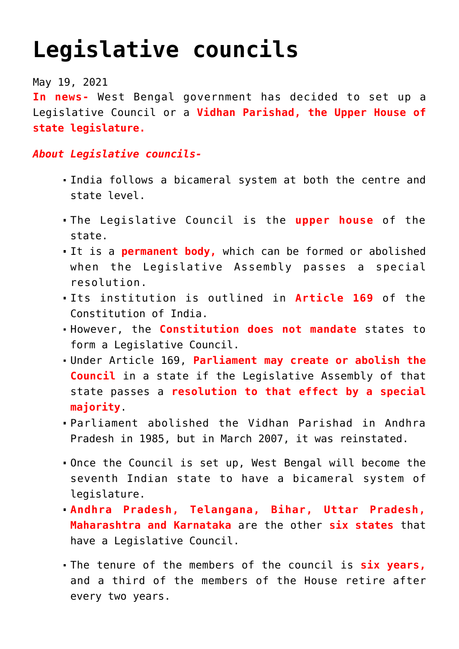## **[Legislative councils](https://journalsofindia.com/legislative-councils/)**

May 19, 2021

**In news-** West Bengal government has decided to set up a Legislative Council or a **Vidhan Parishad, the Upper House of state legislature.**

## *About Legislative councils-*

- India follows a bicameral system at both the centre and state level.
- The Legislative Council is the **upper house** of the state.
- It is a **permanent body,** which can be formed or abolished when the Legislative Assembly passes a special resolution.
- Its institution is outlined in **Article 169** of the Constitution of India.
- However, the **Constitution does not mandate** states to form a Legislative Council.
- Under Article 169, **Parliament may create or abolish the Council** in a state if the Legislative Assembly of that state passes a **resolution to that effect by a special majority**.
- Parliament abolished the Vidhan Parishad in Andhra Pradesh in 1985, but in March 2007, it was reinstated.
- Once the Council is set up, West Bengal will become the seventh Indian state to have a bicameral system of legislature.
- **Andhra Pradesh, Telangana, Bihar, Uttar Pradesh, Maharashtra and Karnataka** are the other **six states** that have a Legislative Council.
- The tenure of the members of the council is **six years,** and a third of the members of the House retire after every two years.